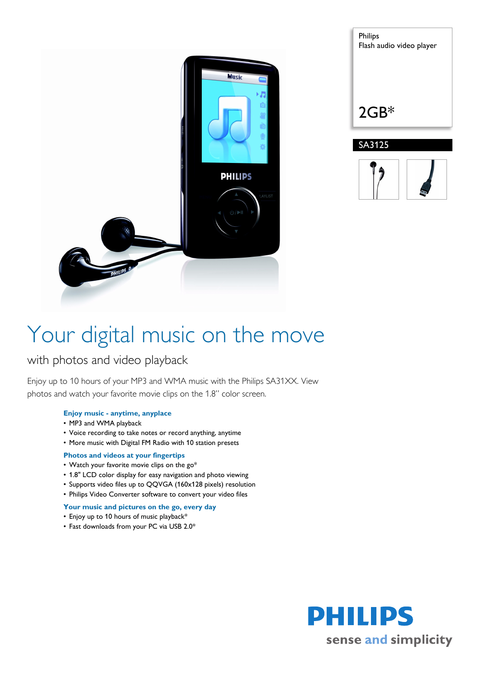

| Philips<br>Flash audio video player |
|-------------------------------------|
| $2GB*$                              |
| SA3125                              |
|                                     |

# Your digital music on the move

## with photos and video playback

Enjoy up to 10 hours of your MP3 and WMA music with the Philips SA31XX. View photos and watch your favorite movie clips on the 1.8" color screen.

#### **Enjoy music - anytime, anyplace**

- MP3 and WMA playback
- Voice recording to take notes or record anything, anytime
- More music with Digital FM Radio with 10 station presets

### **Photos and videos at your fingertips**

- Watch your favorite movie clips on the go\*
- 1.8" LCD color display for easy navigation and photo viewing
- Supports video files up to QQVGA (160x128 pixels) resolution
- Philips Video Converter software to convert your video files

### **Your music and pictures on the go, every day**

- Enjoy up to 10 hours of music playback\*
- Fast downloads from your PC via USB 2.0\*